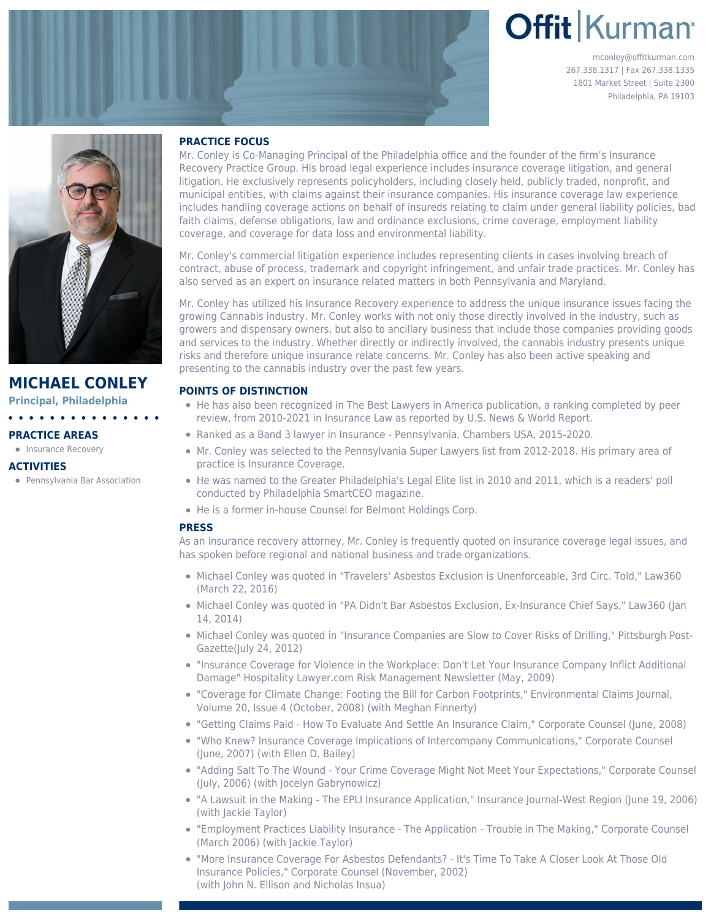# **Offit Kurman**

mconley@offitkurman.com 267.338.1317 | Fax 267.338.1335 1801 Market Street | Suite 2300 Philadelphia, PA 19103



# **MICHAEL CONLEY**

**Principal, Philadelphia**

# **PRACTICE AREAS**

• [Insurance Recovery](https://www.offitkurman.com/service/insurance/)

# **ACTIVITIES**

Pennsylvania Bar Association

# **PRACTICE FOCUS**

Mr. Conley is Co-Managing Principal of the Philadelphia office and the founder of the firm's Insurance Recovery Practice Group. His broad legal experience includes insurance coverage litigation, and general litigation. He exclusively represents policyholders, including closely held, publicly traded, nonprofit, and municipal entities, with claims against their insurance companies. His insurance coverage law experience includes handling coverage actions on behalf of insureds relating to claim under general liability policies, bad faith claims, defense obligations, law and ordinance exclusions, crime coverage, employment liability coverage, and coverage for data loss and environmental liability.

Mr. Conley's commercial litigation experience includes representing clients in cases involving breach of contract, abuse of process, trademark and copyright infringement, and unfair trade practices. Mr. Conley has also served as an expert on insurance related matters in both Pennsylvania and Maryland.

Mr. Conley has utilized his Insurance Recovery experience to address the unique insurance issues facing the growing Cannabis industry. Mr. Conley works with not only those directly involved in the industry, such as growers and dispensary owners, but also to ancillary business that include those companies providing goods and services to the industry. Whether directly or indirectly involved, the cannabis industry presents unique risks and therefore unique insurance relate concerns. Mr. Conley has also been active speaking and presenting to the cannabis industry over the past few years.

# **POINTS OF DISTINCTION**

- He has also been recognized in The Best Lawyers in America publication, a ranking completed by peer review, from 2010-2021 in Insurance Law as reported by U.S. News & World Report.
- Ranked as a Band 3 lawyer in Insurance Pennsylvania, Chambers USA, 2015-2020.
- Mr. Conley was selected to the Pennsylvania Super Lawyers list from 2012-2018. His primary area of practice is Insurance Coverage.
- He was named to the Greater Philadelphia's Legal Elite list in 2010 and 2011, which is a readers' poll conducted by Philadelphia SmartCEO magazine.
- He is a former in-house Counsel for Belmont Holdings Corp.

# **PRESS**

As an insurance recovery attorney, Mr. Conley is frequently quoted on insurance coverage legal issues, and has spoken before regional and national business and trade organizations.

- Michael Conley was quoted in ["Travelers' Asbestos Exclusion is Unenforceable, 3rd Circ. Told,"](https://www.law360.com/articles/775027/travelers-asbestos-exclusion-is-unenforceable-3rd-circ-told) Law360 (March 22, 2016)
- $\bullet$  Michael Conley was quoted in ["PA Didn't Bar Asbestos Exclusion, Ex-Insurance Chief Says,"](https://www.law360.com/articles/501059/pa-didn-t-bar-asbestos-exclusions-ex-insurance-chief-says) Law360 (Jan 14, 2014)
- [Michael Conley was quoted in "Insurance Companies are Slow to Cover Risks of Drilling," Pittsburgh Post-](http://www.post-gazette.com/business/businessnews/2012/07/25/Insurance-companies-are-slow-to-cover-risks-of-drilling/stories/201207250143)[Gazette](http://www.post-gazette.com/business/businessnews/2012/07/25/Insurance-companies-are-slow-to-cover-risks-of-drilling/stories/201207250143)(July 24, 2012)
- "Insurance Coverage for Violence in the Workplace: Don't Let Your Insurance Company Inflict Additional Damage" Hospitality [Lawyer.com](http://Lawyer.com) Risk Management Newsletter (May, 2009)
- "Coverage for Climate Change: Footing the Bill for Carbon Footprints," Environmental Claims Journal, Volume 20, Issue 4 (October, 2008) (with Meghan Finnerty)
- "Getting Claims Paid How To Evaluate And Settle An Insurance Claim," Corporate Counsel (June, 2008)
- "Who Knew? Insurance Coverage Implications of Intercompany Communications," Corporate Counsel (June, 2007) (with Ellen D. Bailey)
- "Adding Salt To The Wound Your Crime Coverage Might Not Meet Your Expectations," Corporate Counsel (July, 2006) (with Jocelyn Gabrynowicz)
- "A Lawsuit in the Making The EPLI Insurance Application," Insurance Journal-West Region (June 19, 2006) (with Jackie Taylor)
- "Employment Practices Liability Insurance The Application Trouble in The Making," Corporate Counsel (March 2006) (with Jackie Taylor)
- "More Insurance Coverage For Asbestos Defendants? It's Time To Take A Closer Look At Those Old Insurance Policies," Corporate Counsel (November, 2002) (with John N. Ellison and Nicholas Insua)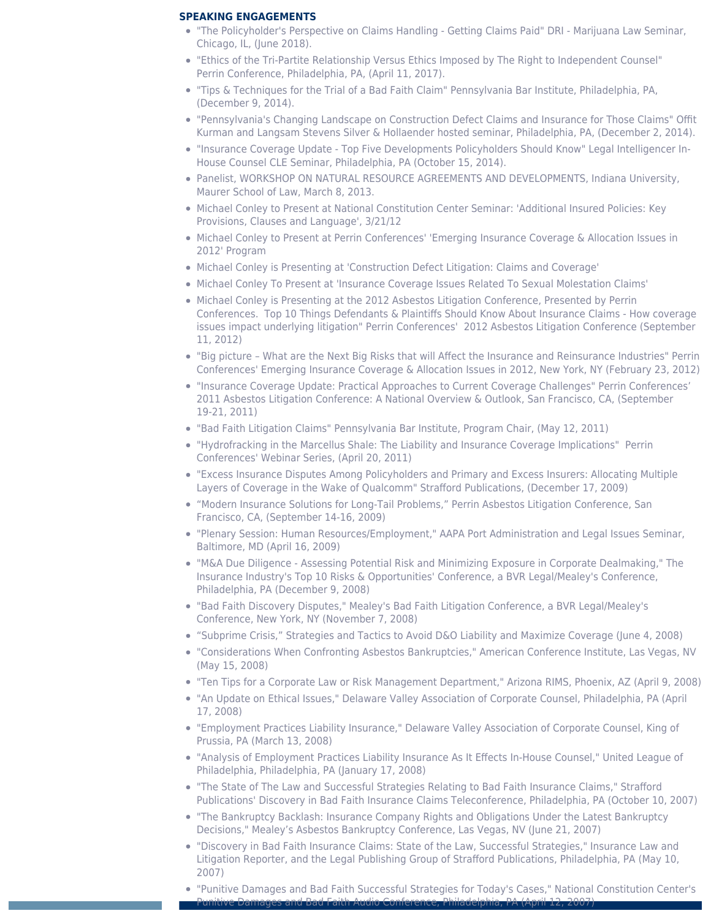## **SPEAKING ENGAGEMENTS**

- "The Policyholder's Perspective on Claims Handling Getting Claims Paid" DRI Marijuana Law Seminar, Chicago, IL, (June 2018).
- "Ethics of the Tri-Partite Relationship Versus Ethics Imposed by The Right to Independent Counsel" Perrin Conference, Philadelphia, PA, (April 11, 2017).
- "Tips & Techniques for the Trial of a Bad Faith Claim" Pennsylvania Bar Institute, Philadelphia, PA, (December 9, 2014).
- "Pennsylvania's Changing Landscape on Construction Defect Claims and Insurance for Those Claims" Offit Kurman and Langsam Stevens Silver & Hollaender hosted seminar, Philadelphia, PA, (December 2, 2014).
- "Insurance Coverage Update Top Five Developments Policyholders Should Know" Legal Intelligencer In-House Counsel CLE Seminar, Philadelphia, PA (October 15, 2014).
- Panelist, WORKSHOP ON NATURAL RESOURCE AGREEMENTS AND DEVELOPMENTS, Indiana University, Maurer School of Law, March 8, 2013.
- [Michael Conley to Present at National Constitution Center Seminar: 'Additional Insured Policies: Key](https://www.offitkurman.com/publication/additional-insured-policies-seminar) [Provisions, Clauses and Language', 3/21/12](https://www.offitkurman.com/publication/additional-insured-policies-seminar)
- [Michael Conley to Present at Perrin Conferences' 'Emerging Insurance Coverage & Allocation Issues in](https://www.offitkurman.com/publication/michel-conley-to-present-at-perrin-conferences-insurance-coverage-issues) [2012' Program](https://www.offitkurman.com/publication/michel-conley-to-present-at-perrin-conferences-insurance-coverage-issues)
- [Michael Conley is Presenting at 'Construction Defect Litigation: Claims and Coverage'](https://www.offitkurman.com/publication/michael-conley-construction-defect-litigation-claims-and-coverage)
- [Michael Conley To Present at 'Insurance Coverage Issues Related To Sexual Molestation Claims'](https://www.offitkurman.com/publication/offit-kurman-attorney-michael-conley-to-present-at-insurance-coverage-issues-related-to-sexual-molestation-claims)
- [Michael Conley is Presenting at the 2012 Asbestos Litigation Conference, Presented by Perrin](https://www.offitkurman.com/publication/michael-conley-2012-asbestos-insurance-claim-national-conference) [Conferences](https://www.offitkurman.com/publication/michael-conley-2012-asbestos-insurance-claim-national-conference). Top 10 Things Defendants & Plaintiffs Should Know About Insurance Claims - How coverage issues impact underlying litigation" Perrin Conferences' 2012 Asbestos Litigation Conference (September 11, 2012)
- "Big picture What are the Next Big Risks that will Affect the Insurance and Reinsurance Industries" Perrin Conferences' Emerging Insurance Coverage & Allocation Issues in 2012, New York, NY (February 23, 2012)
- "Insurance Coverage Update: Practical Approaches to Current Coverage Challenges" Perrin Conferences' 2011 Asbestos Litigation Conference: A National Overview & Outlook, San Francisco, CA, (September 19-21, 2011)
- "Bad Faith Litigation Claims" Pennsylvania Bar Institute, Program Chair, (May 12, 2011)
- "Hydrofracking in the Marcellus Shale: The Liability and Insurance Coverage Implications" Perrin Conferences' Webinar Series, (April 20, 2011)
- "Excess Insurance Disputes Among Policyholders and Primary and Excess Insurers: Allocating Multiple Layers of Coverage in the Wake of Qualcomm" Strafford Publications, (December 17, 2009)
- "Modern Insurance Solutions for Long-Tail Problems," Perrin Asbestos Litigation Conference, San Francisco, CA, (September 14-16, 2009)
- "Plenary Session: Human Resources/Employment," AAPA Port Administration and Legal Issues Seminar, Baltimore, MD (April 16, 2009)
- "M&A Due Diligence Assessing Potential Risk and Minimizing Exposure in Corporate Dealmaking," The Insurance Industry's Top 10 Risks & Opportunities' Conference, a BVR Legal/Mealey's Conference, Philadelphia, PA (December 9, 2008)
- "Bad Faith Discovery Disputes," Mealey's Bad Faith Litigation Conference, a BVR Legal/Mealey's Conference, New York, NY (November 7, 2008)
- "Subprime Crisis," Strategies and Tactics to Avoid D&O Liability and Maximize Coverage (June 4, 2008)
- "Considerations When Confronting Asbestos Bankruptcies," American Conference Institute, Las Vegas, NV (May 15, 2008)
- "Ten Tips for a Corporate Law or Risk Management Department," Arizona RIMS, Phoenix, AZ (April 9, 2008)
- "An Update on Ethical Issues," Delaware Valley Association of Corporate Counsel, Philadelphia, PA (April 17, 2008)
- "Employment Practices Liability Insurance," Delaware Valley Association of Corporate Counsel, King of Prussia, PA (March 13, 2008)
- "Analysis of Employment Practices Liability Insurance As It Effects In-House Counsel," United League of Philadelphia, Philadelphia, PA (January 17, 2008)
- "The State of The Law and Successful Strategies Relating to Bad Faith Insurance Claims," Strafford Publications' Discovery in Bad Faith Insurance Claims Teleconference, Philadelphia, PA (October 10, 2007)
- "The Bankruptcy Backlash: Insurance Company Rights and Obligations Under the Latest Bankruptcy Decisions," Mealey's Asbestos Bankruptcy Conference, Las Vegas, NV (June 21, 2007)
- "Discovery in Bad Faith Insurance Claims: State of the Law, Successful Strategies," Insurance Law and Litigation Reporter, and the Legal Publishing Group of Strafford Publications, Philadelphia, PA (May 10, 2007)
- "Punitive Damages and Bad Faith Successful Strategies for Today's Cases," National Constitution Center's Punitive Damages and Bad Faith Audio Conference, Philadelphia, PA (April 12, 2007)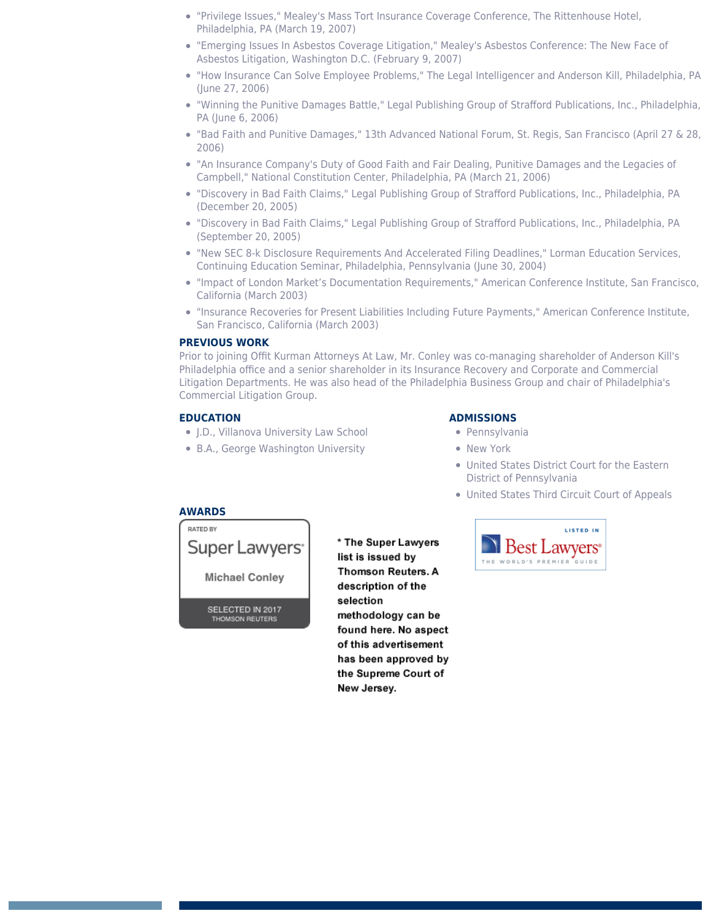- "Privilege Issues," Mealey's Mass Tort Insurance Coverage Conference, The Rittenhouse Hotel, Philadelphia, PA (March 19, 2007)
- "Emerging Issues In Asbestos Coverage Litigation," Mealey's Asbestos Conference: The New Face of Asbestos Litigation, Washington D.C. (February 9, 2007)
- "How Insurance Can Solve Employee Problems," The Legal Intelligencer and Anderson Kill, Philadelphia, PA (June 27, 2006)
- "Winning the Punitive Damages Battle," Legal Publishing Group of Strafford Publications, Inc., Philadelphia, PA (June 6, 2006)
- "Bad Faith and Punitive Damages," 13th Advanced National Forum, St. Regis, San Francisco (April 27 & 28, 2006)
- "An Insurance Company's Duty of Good Faith and Fair Dealing, Punitive Damages and the Legacies of Campbell," National Constitution Center, Philadelphia, PA (March 21, 2006)
- "Discovery in Bad Faith Claims," Legal Publishing Group of Strafford Publications, Inc., Philadelphia, PA (December 20, 2005)
- "Discovery in Bad Faith Claims," Legal Publishing Group of Strafford Publications, Inc., Philadelphia, PA (September 20, 2005)
- "New SEC 8-k Disclosure Requirements And Accelerated Filing Deadlines," Lorman Education Services, Continuing Education Seminar, Philadelphia, Pennsylvania (June 30, 2004)
- "Impact of London Market's Documentation Requirements," American Conference Institute, San Francisco, California (March 2003)
- "Insurance Recoveries for Present Liabilities Including Future Payments," American Conference Institute, San Francisco, California (March 2003)

## **PREVIOUS WORK**

Prior to joining Offit Kurman Attorneys At Law, Mr. Conley was co-managing shareholder of Anderson Kill's Philadelphia office and a senior shareholder in its Insurance Recovery and Corporate and Commercial Litigation Departments. He was also head of the Philadelphia Business Group and chair of Philadelphia's Commercial Litigation Group.

# **EDUCATION**

**AWARDS**

- J.D., Villanova University Law School
- B.A., George Washington University

# **ADMISSIONS**

- **•** Pennsylvania
- New York
- United States District Court for the Eastern District of Pennsylvania
- United States Third Circuit Court of Appeals



**Michael Conley** 

SELECTED IN 2017 **THOMSON REUTERS** 

\* The Super Lawyers list is issued by **Thomson Reuters. A** description of the selection methodology can be found here. No aspect of this advertisement has been approved by the Supreme Court of New Jersey.